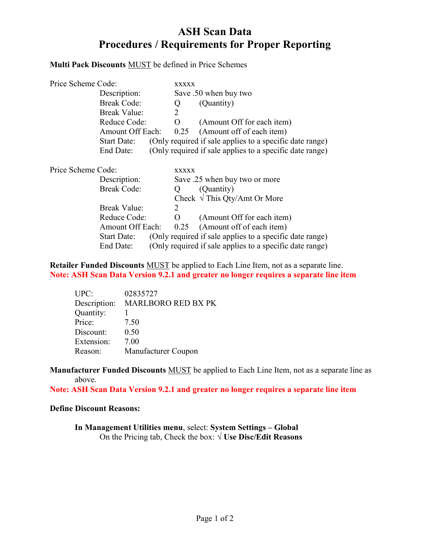# ASH Scan Data Procedures / Requirements for Proper Reporting

## Multi Pack Discounts MUST be defined in Price Schemes

| Price Scheme Code: |                         |              | <b>XXXXX</b>                |                                                          |
|--------------------|-------------------------|--------------|-----------------------------|----------------------------------------------------------|
|                    | Description:            |              |                             | Save .50 when buy two                                    |
|                    | <b>Break Code:</b>      |              | Q                           | (Quantity)                                               |
|                    | <b>Break Value:</b>     |              | $\mathcal{D}_{\mathcal{L}}$ |                                                          |
|                    | Reduce Code:            |              | $\Omega$                    | (Amount Off for each item)                               |
|                    | <b>Amount Off Each:</b> |              | 0.25                        | (Amount off of each item)                                |
|                    | <b>Start Date:</b>      |              |                             | (Only required if sale applies to a specific date range) |
|                    | End Date:               |              |                             | (Only required if sale applies to a specific date range) |
| Price Scheme Code: |                         | <b>XXXXX</b> |                             |                                                          |
|                    | Description:            |              |                             | Save .25 when buy two or more                            |
|                    | <b>Break Code:</b>      |              | Ő                           | (Quantity)                                               |
|                    |                         |              |                             | Check $\sqrt{\text{This Qty}}$ Amt Or More               |
|                    | <b>Break Value:</b>     |              | $\mathcal{D}_{\mathcal{L}}$ |                                                          |
|                    | Reduce Code:            |              | $\Omega$                    | (Amount Off for each item)                               |
|                    | Amount Off Each:        |              | 0.25                        | (Amount off of each item)                                |
|                    | Start Date:             |              |                             | (Only required if sale applies to a specific date range) |
|                    | End Date:               |              |                             | (Only required if sale applies to a specific date range) |

Retailer Funded Discounts MUST be applied to Each Line Item, not as a separate line. Note: ASH Scan Data Version 9.2.1 and greater no longer requires a separate line item

| UPC:         | 02835727            |
|--------------|---------------------|
| Description: | MARLBORO RED BX PK  |
| Quantity:    |                     |
| Price:       | 7.50                |
| Discount:    | 0.50                |
| Extension:   | 7.00                |
| Reason:      | Manufacturer Coupon |

Manufacturer Funded Discounts MUST be applied to Each Line Item, not as a separate line as above.

Note: ASH Scan Data Version 9.2.1 and greater no longer requires a separate line item

#### Define Discount Reasons:

In Management Utilities menu, select: System Settings – Global On the Pricing tab, Check the box:  $\sqrt{U}$ **Se Disc/Edit Reasons**